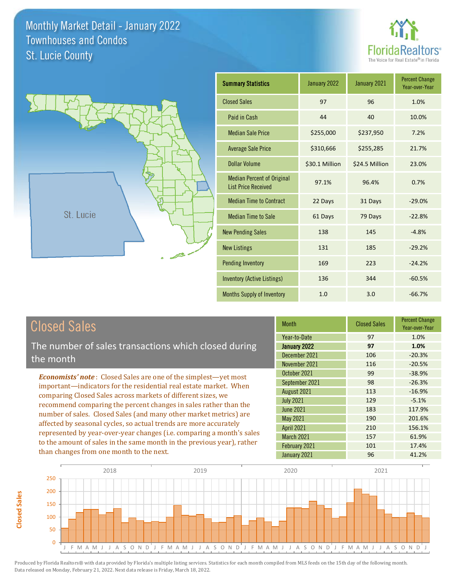



| <b>Summary Statistics</b>                                       | January 2022   | January 2021   | <b>Percent Change</b><br>Year-over-Year |
|-----------------------------------------------------------------|----------------|----------------|-----------------------------------------|
| <b>Closed Sales</b>                                             | 97             | 96             | 1.0%                                    |
| Paid in Cash                                                    | 44             | 40             | 10.0%                                   |
| <b>Median Sale Price</b>                                        | \$255,000      | \$237,950      | 7.2%                                    |
| <b>Average Sale Price</b>                                       | \$310,666      | \$255,285      | 21.7%                                   |
| <b>Dollar Volume</b>                                            | \$30.1 Million | \$24.5 Million | 23.0%                                   |
| <b>Median Percent of Original</b><br><b>List Price Received</b> | 97.1%          | 96.4%          | 0.7%                                    |
| <b>Median Time to Contract</b>                                  | 22 Days        | 31 Days        | $-29.0%$                                |
| <b>Median Time to Sale</b>                                      | 61 Days        | 79 Days        | $-22.8%$                                |
| <b>New Pending Sales</b>                                        | 138            | 145            | $-4.8%$                                 |
| <b>New Listings</b>                                             | 131            | 185            | $-29.2%$                                |
| <b>Pending Inventory</b>                                        | 169            | 223            | $-24.2%$                                |
| <b>Inventory (Active Listings)</b>                              | 136            | 344            | $-60.5%$                                |
| <b>Months Supply of Inventory</b>                               | 1.0            | 3.0            | $-66.7%$                                |

| <b>Closed Sales</b> |  |
|---------------------|--|
|---------------------|--|

**Closed Sales**

**Closed Sales** 

The number of sales transactions which closed during the month

*Economists' note* : Closed Sales are one of the simplest—yet most important—indicators for the residential real estate market. When comparing Closed Sales across markets of different sizes, we recommend comparing the percent changes in sales rather than the number of sales. Closed Sales (and many other market metrics) are affected by seasonal cycles, so actual trends are more accurately represented by year-over-year changes (i.e. comparing a month's sales to the amount of sales in the same month in the previous year), rather than changes from one month to the next.

| <b>Month</b>      | <b>Closed Sales</b> | <b>Percent Change</b><br>Year-over-Year |
|-------------------|---------------------|-----------------------------------------|
| Year-to-Date      | 97                  | 1.0%                                    |
| January 2022      | 97                  | 1.0%                                    |
| December 2021     | 106                 | $-20.3%$                                |
| November 2021     | 116                 | $-20.5%$                                |
| October 2021      | 99                  | $-38.9%$                                |
| September 2021    | 98                  | $-26.3%$                                |
| August 2021       | 113                 | $-16.9%$                                |
| <b>July 2021</b>  | 129                 | $-5.1%$                                 |
| <b>June 2021</b>  | 183                 | 117.9%                                  |
| May 2021          | 190                 | 201.6%                                  |
| <b>April 2021</b> | 210                 | 156.1%                                  |
| March 2021        | 157                 | 61.9%                                   |
| February 2021     | 101                 | 17.4%                                   |
| January 2021      | 96                  | 41.2%                                   |

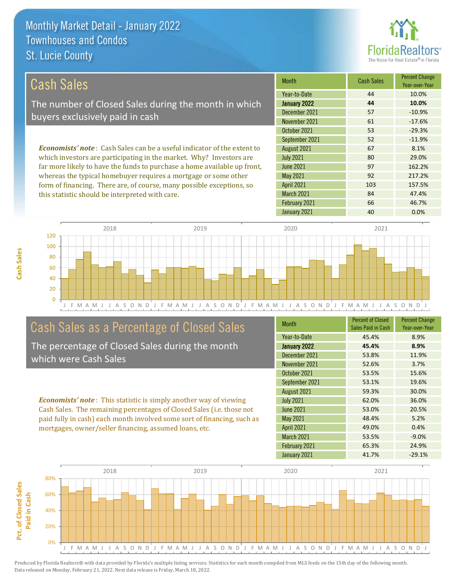this statistic should be interpreted with care.



84 47.4%

| Cash Sales                                                                     | <b>Month</b>      | <b>Cash Sales</b> | <b>Percent Change</b><br>Year-over-Year |
|--------------------------------------------------------------------------------|-------------------|-------------------|-----------------------------------------|
|                                                                                | Year-to-Date      | 44                | 10.0%                                   |
| The number of Closed Sales during the month in which                           | January 2022      | 44                | 10.0%                                   |
|                                                                                | December 2021     | 57                | $-10.9%$                                |
| buyers exclusively paid in cash                                                | November 2021     | 61                | $-17.6%$                                |
|                                                                                | October 2021      | 53                | $-29.3%$                                |
|                                                                                | September 2021    | 52                | $-11.9%$                                |
| <b>Economists' note:</b> Cash Sales can be a useful indicator of the extent to | August 2021       | 67                | 8.1%                                    |
| which investors are participating in the market. Why? Investors are            | <b>July 2021</b>  | 80                | 29.0%                                   |
| far more likely to have the funds to purchase a home available up front,       | <b>June 2021</b>  | 97                | 162.2%                                  |
| whereas the typical homebuyer requires a mortgage or some other                | May 2021          | 92                | 217.2%                                  |
| form of financing. There are, of course, many possible exceptions, so          | <b>April 2021</b> | 103               | 157.5%                                  |



## Cash Sales as a Percentage of Closed Sales

The percentage of Closed Sales during the month which were Cash Sales

*Economists' note* : This statistic is simply another way of viewing Cash Sales. The remaining percentages of Closed Sales (i.e. those not paid fully in cash) each month involved some sort of financing, such as mortgages, owner/seller financing, assumed loans, etc.

| <b>Month</b>      | <b>Percent of Closed</b><br>Sales Paid in Cash | <b>Percent Change</b><br>Year-over-Year |
|-------------------|------------------------------------------------|-----------------------------------------|
| Year-to-Date      | 45.4%                                          | 8.9%                                    |
| January 2022      | 45.4%                                          | 8.9%                                    |
| December 2021     | 53.8%                                          | 11.9%                                   |
| November 2021     | 52.6%                                          | 3.7%                                    |
| October 2021      | 53.5%                                          | 15.6%                                   |
| September 2021    | 53.1%                                          | 19.6%                                   |
| August 2021       | 59.3%                                          | 30.0%                                   |
| <b>July 2021</b>  | 62.0%                                          | 36.0%                                   |
| <b>June 2021</b>  | 53.0%                                          | 20.5%                                   |
| May 2021          | 48.4%                                          | 5.2%                                    |
| <b>April 2021</b> | 49.0%                                          | 0.4%                                    |
| <b>March 2021</b> | 53.5%                                          | $-9.0%$                                 |
| February 2021     | 65.3%                                          | 24.9%                                   |
| January 2021      | 41.7%                                          | $-29.1%$                                |

January 2021 40 0.0%

February 2021 66 46.7%

March 2021



**Cash Sales**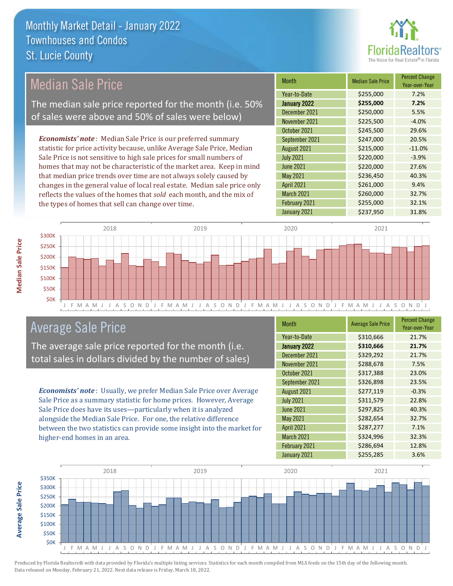

## Median Sale Price

The median sale price reported for the month (i.e. 50% of sales were above and 50% of sales were below)

*Economists' note* : Median Sale Price is our preferred summary statistic for price activity because, unlike Average Sale Price, Median Sale Price is not sensitive to high sale prices for small numbers of homes that may not be characteristic of the market area. Keep in mind that median price trends over time are not always solely caused by changes in the general value of local real estate. Median sale price only reflects the values of the homes that *sold* each month, and the mix of the types of homes that sell can change over time.

| <b>Month</b>      | <b>Median Sale Price</b> | <b>Percent Change</b><br>Year-over-Year |
|-------------------|--------------------------|-----------------------------------------|
| Year-to-Date      | \$255,000                | 7.2%                                    |
| January 2022      | \$255,000                | 7.2%                                    |
| December 2021     | \$250,000                | 5.5%                                    |
| November 2021     | \$225,500                | $-4.0%$                                 |
| October 2021      | \$245,500                | 29.6%                                   |
| September 2021    | \$247,000                | 20.5%                                   |
| August 2021       | \$215,000                | $-11.0%$                                |
| <b>July 2021</b>  | \$220,000                | $-3.9%$                                 |
| <b>June 2021</b>  | \$220,000                | 27.6%                                   |
| May 2021          | \$236,450                | 40.3%                                   |
| <b>April 2021</b> | \$261,000                | 9.4%                                    |
| March 2021        | \$260,000                | 32.7%                                   |
| February 2021     | \$255,000                | 32.1%                                   |
| January 2021      | \$237,950                | 31.8%                                   |



## Average Sale Price

The average sale price reported for the month (i.e. total sales in dollars divided by the number of sales)

*Economists' note* : Usually, we prefer Median Sale Price over Average Sale Price as a summary statistic for home prices. However, Average Sale Price does have its uses—particularly when it is analyzed alongside the Median Sale Price. For one, the relative difference between the two statistics can provide some insight into the market for higher-end homes in an area.

| Month             | <b>Average Sale Price</b> | <b>Percent Change</b><br>Year-over-Year |
|-------------------|---------------------------|-----------------------------------------|
| Year-to-Date      | \$310,666                 | 21.7%                                   |
| January 2022      | \$310,666                 | 21.7%                                   |
| December 2021     | \$329,292                 | 21.7%                                   |
| November 2021     | \$288,678                 | 7.5%                                    |
| October 2021      | \$317,388                 | 23.0%                                   |
| September 2021    | \$326,898                 | 23.5%                                   |
| August 2021       | \$277,119                 | $-0.3%$                                 |
| <b>July 2021</b>  | \$311,579                 | 22.8%                                   |
| <b>June 2021</b>  | \$297,825                 | 40.3%                                   |
| May 2021          | \$282,654                 | 32.7%                                   |
| <b>April 2021</b> | \$287,277                 | 7.1%                                    |
| March 2021        | \$324,996                 | 32.3%                                   |
| February 2021     | \$286,694                 | 12.8%                                   |
| January 2021      | \$255,285                 | 3.6%                                    |



Produced by Florida Realtors® with data provided by Florida's multiple listing services. Statistics for each month compiled from MLS feeds on the 15th day of the following month. Data released on Monday, February 21, 2022. Next data release is Friday, March 18, 2022.

**Average Sale Price**

**Average Sale Price**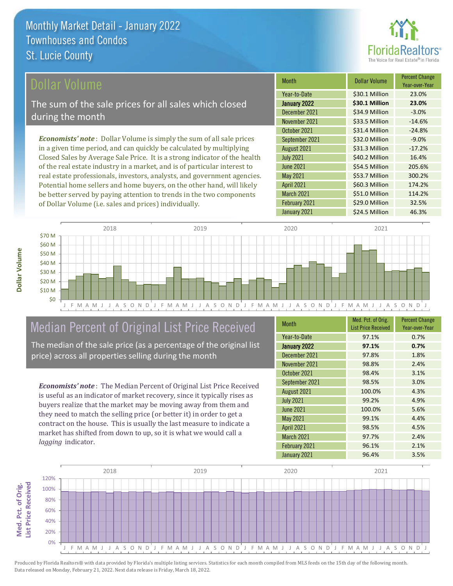

#### ollar Volume

The sum of the sale prices for all sales which closed during the month

*Economists' note* : Dollar Volume is simply the sum of all sale prices in a given time period, and can quickly be calculated by multiplying Closed Sales by Average Sale Price. It is a strong indicator of the health of the real estate industry in a market, and is of particular interest to real estate professionals, investors, analysts, and government agencies. Potential home sellers and home buyers, on the other hand, will likely be better served by paying attention to trends in the two components of Dollar Volume (i.e. sales and prices) individually.

| <b>Month</b>      | <b>Dollar Volume</b> | <b>Percent Change</b><br>Year-over-Year |
|-------------------|----------------------|-----------------------------------------|
| Year-to-Date      | \$30.1 Million       | 23.0%                                   |
| January 2022      | \$30.1 Million       | 23.0%                                   |
| December 2021     | \$34.9 Million       | $-3.0%$                                 |
| November 2021     | \$33.5 Million       | $-14.6%$                                |
| October 2021      | \$31.4 Million       | $-24.8%$                                |
| September 2021    | \$32.0 Million       | $-9.0%$                                 |
| August 2021       | \$31.3 Million       | $-17.2%$                                |
| <b>July 2021</b>  | \$40.2 Million       | 16.4%                                   |
| <b>June 2021</b>  | \$54.5 Million       | 205.6%                                  |
| May 2021          | \$53.7 Million       | 300.2%                                  |
| <b>April 2021</b> | \$60.3 Million       | 174.2%                                  |
| March 2021        | \$51.0 Million       | 114.2%                                  |
| February 2021     | \$29.0 Million       | 32.5%                                   |
| January 2021      | \$24.5 Million       | 46.3%                                   |



## Median Percent of Original List Price Received

The median of the sale price (as a percentage of the original list price) across all properties selling during the month

*Economists' note* : The Median Percent of Original List Price Received is useful as an indicator of market recovery, since it typically rises as buyers realize that the market may be moving away from them and they need to match the selling price (or better it) in order to get a contract on the house. This is usually the last measure to indicate a market has shifted from down to up, so it is what we would call a *lagging* indicator.

| <b>Month</b>      | Med. Pct. of Orig.<br><b>List Price Received</b> | <b>Percent Change</b><br>Year-over-Year |
|-------------------|--------------------------------------------------|-----------------------------------------|
| Year-to-Date      | 97.1%                                            | 0.7%                                    |
| January 2022      | 97.1%                                            | 0.7%                                    |
| December 2021     | 97.8%                                            | 1.8%                                    |
| November 2021     | 98.8%                                            | 2.4%                                    |
| October 2021      | 98.4%                                            | 3.1%                                    |
| September 2021    | 98.5%                                            | 3.0%                                    |
| August 2021       | 100.0%                                           | 4.3%                                    |
| <b>July 2021</b>  | 99.2%                                            | 4.9%                                    |
| <b>June 2021</b>  | 100.0%                                           | 5.6%                                    |
| <b>May 2021</b>   | 99.1%                                            | 4.4%                                    |
| <b>April 2021</b> | 98.5%                                            | 4.5%                                    |
| March 2021        | 97.7%                                            | 2.4%                                    |
| February 2021     | 96.1%                                            | 2.1%                                    |
| January 2021      | 96.4%                                            | 3.5%                                    |

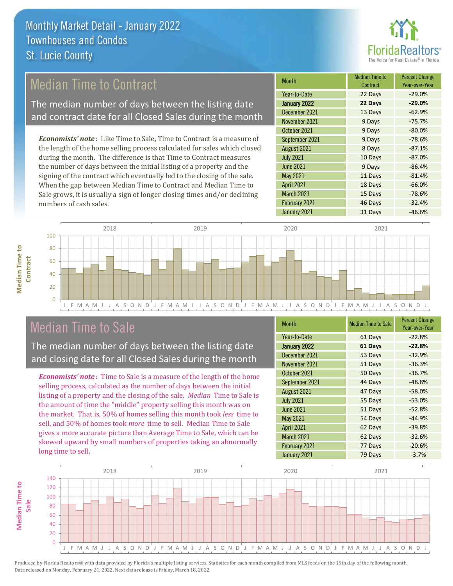

## Median Time to Contract

The median number of days between the listing date and contract date for all Closed Sales during the month

*Economists' note* : Like Time to Sale, Time to Contract is a measure of the length of the home selling process calculated for sales which closed during the month. The difference is that Time to Contract measures the number of days between the initial listing of a property and the signing of the contract which eventually led to the closing of the sale. When the gap between Median Time to Contract and Median Time to Sale grows, it is usually a sign of longer closing times and/or declining numbers of cash sales.

| <b>Month</b>        | <b>Median Time to</b><br>Contract | <b>Percent Change</b><br>Year-over-Year |
|---------------------|-----------------------------------|-----------------------------------------|
| Year-to-Date        | 22 Days                           | $-29.0%$                                |
| <b>January 2022</b> | 22 Days                           | $-29.0%$                                |
| December 2021       | 13 Days                           | $-62.9%$                                |
| November 2021       | 9 Days                            | $-75.7%$                                |
| October 2021        | 9 Days                            | $-80.0%$                                |
| September 2021      | 9 Days                            | $-78.6%$                                |
| August 2021         | 8 Days                            | $-87.1%$                                |
| <b>July 2021</b>    | 10 Days                           | $-87.0%$                                |
| <b>June 2021</b>    | 9 Days                            | $-86.4%$                                |
| May 2021            | 11 Days                           | $-81.4%$                                |
| <b>April 2021</b>   | 18 Days                           | $-66.0%$                                |
| March 2021          | 15 Days                           | $-78.6%$                                |
| February 2021       | 46 Days                           | $-32.4%$                                |
| January 2021        | 31 Days                           | $-46.6%$                                |



## Median Time to Sale

**Median Time to** 

**Median Time to** 

The median number of days between the listing date and closing date for all Closed Sales during the month

*Economists' note* : Time to Sale is a measure of the length of the home selling process, calculated as the number of days between the initial listing of a property and the closing of the sale. *Median* Time to Sale is the amount of time the "middle" property selling this month was on the market. That is, 50% of homes selling this month took *less* time to sell, and 50% of homes took *more* time to sell. Median Time to Sale gives a more accurate picture than Average Time to Sale, which can be skewed upward by small numbers of properties taking an abnormally long time to sell.

| <b>Month</b>      | <b>Median Time to Sale</b> | <b>Percent Change</b><br>Year-over-Year |
|-------------------|----------------------------|-----------------------------------------|
| Year-to-Date      | 61 Days                    | $-22.8%$                                |
| January 2022      | 61 Days                    | $-22.8%$                                |
| December 2021     | 53 Days                    | $-32.9%$                                |
| November 2021     | 51 Days                    | $-36.3%$                                |
| October 2021      | 50 Days                    | $-36.7%$                                |
| September 2021    | 44 Days                    | $-48.8%$                                |
| August 2021       | 47 Days                    | $-58.0%$                                |
| <b>July 2021</b>  | 55 Days                    | $-53.0%$                                |
| <b>June 2021</b>  | 51 Days                    | $-52.8%$                                |
| May 2021          | 54 Days                    | $-44.9%$                                |
| <b>April 2021</b> | 62 Days                    | $-39.8%$                                |
| March 2021        | 62 Days                    | $-32.6%$                                |
| February 2021     | 77 Days                    | $-20.6%$                                |
| January 2021      | 79 Days                    | $-3.7%$                                 |

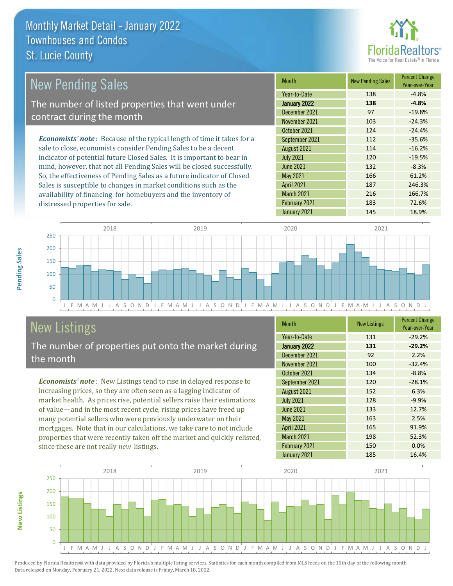

| <b>New Pending Sales</b>                                                       | <b>Month</b>      | <b>New Pending Sales</b> | <b>Percent Change</b><br>Year-over-Year |
|--------------------------------------------------------------------------------|-------------------|--------------------------|-----------------------------------------|
|                                                                                | Year-to-Date      | 138                      | $-4.8%$                                 |
| The number of listed properties that went under                                | January 2022      | 138                      | $-4.8%$                                 |
| contract during the month                                                      | December 2021     | 97                       | $-19.8%$                                |
|                                                                                | November 2021     | 103                      | $-24.3%$                                |
|                                                                                | October 2021      | 124                      | $-24.4%$                                |
| <b>Economists' note</b> : Because of the typical length of time it takes for a | September 2021    | 112                      | $-35.6%$                                |
| sale to close, economists consider Pending Sales to be a decent                | August 2021       | 114                      | $-16.2%$                                |
| indicator of potential future Closed Sales. It is important to bear in         | <b>July 2021</b>  | 120                      | $-19.5%$                                |
| mind, however, that not all Pending Sales will be closed successfully.         | <b>June 2021</b>  | 132                      | $-8.3%$                                 |
| So, the effectiveness of Pending Sales as a future indicator of Closed         | May 2021          | 166                      | 61.2%                                   |
| Sales is susceptible to changes in market conditions such as the               | <b>April 2021</b> | 187                      | 246.3%                                  |



## New Listings

distressed properties for sale.

The number of properties put onto the market during the month

availability of financing for homebuyers and the inventory of

*Economists' note* : New Listings tend to rise in delayed response to increasing prices, so they are often seen as a lagging indicator of market health. As prices rise, potential sellers raise their estimations of value—and in the most recent cycle, rising prices have freed up many potential sellers who were previously underwater on their mortgages. Note that in our calculations, we take care to not include properties that were recently taken off the market and quickly relisted, since these are not really *new* listings.

| <b>Month</b>      | <b>New Listings</b> | <b>Percent Change</b><br>Year-over-Year |
|-------------------|---------------------|-----------------------------------------|
| Year-to-Date      | 131                 | $-29.2%$                                |
| January 2022      | 131                 | $-29.2%$                                |
| December 2021     | 92                  | 2.2%                                    |
| November 2021     | 100                 | $-32.4%$                                |
| October 2021      | 134                 | $-8.8%$                                 |
| September 2021    | 120                 | $-28.1%$                                |
| August 2021       | 152                 | 6.3%                                    |
| <b>July 2021</b>  | 128                 | $-9.9%$                                 |
| <b>June 2021</b>  | 133                 | 12.7%                                   |
| May 2021          | 163                 | 2.5%                                    |
| <b>April 2021</b> | 165                 | 91.9%                                   |
| March 2021        | 198                 | 52.3%                                   |
| February 2021     | 150                 | 0.0%                                    |
| January 2021      | 185                 | 16.4%                                   |

March 2021 216 216 166.7% February 2021 183 72.6%



Produced by Florida Realtors® with data provided by Florida's multiple listing services. Statistics for each month compiled from MLS feeds on the 15th day of the following month. Data released on Monday, February 21, 2022. Next data release is Friday, March 18, 2022.

**New Listings**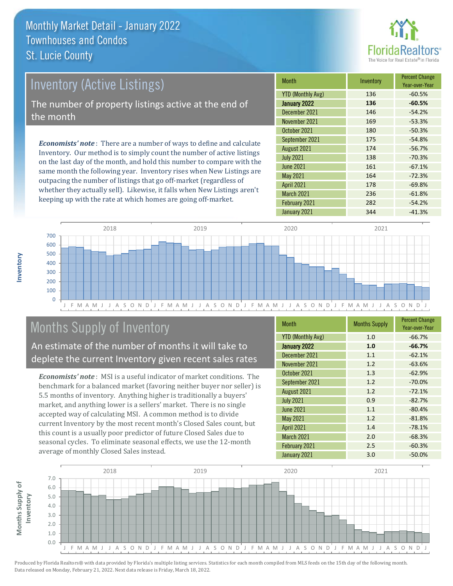

# Inventory (Active Listings) The number of property listings active at the end of the month

*Economists' note* : There are a number of ways to define and calculate Inventory. Our method is to simply count the number of active listings on the last day of the month, and hold this number to compare with the same month the following year. Inventory rises when New Listings are outpacing the number of listings that go off-market (regardless of whether they actually sell). Likewise, it falls when New Listings aren't keeping up with the rate at which homes are going off-market.

| <b>Month</b>             | Inventory | <b>Percent Change</b><br>Year-over-Year |
|--------------------------|-----------|-----------------------------------------|
| <b>YTD (Monthly Avg)</b> | 136       | $-60.5%$                                |
| January 2022             | 136       | $-60.5%$                                |
| December 2021            | 146       | $-54.2%$                                |
| November 2021            | 169       | $-53.3%$                                |
| October 2021             | 180       | $-50.3%$                                |
| September 2021           | 175       | $-54.8%$                                |
| August 2021              | 174       | $-56.7%$                                |
| <b>July 2021</b>         | 138       | $-70.3%$                                |
| <b>June 2021</b>         | 161       | $-67.1%$                                |
| May 2021                 | 164       | $-72.3%$                                |
| <b>April 2021</b>        | 178       | $-69.8%$                                |
| March 2021               | 236       | $-61.8%$                                |
| February 2021            | 282       | $-54.2%$                                |
| January 2021             | 344       | $-41.3%$                                |



## Months Supply of Inventory

An estimate of the number of months it will take to deplete the current Inventory given recent sales rates

*Economists' note* : MSI is a useful indicator of market conditions. The benchmark for a balanced market (favoring neither buyer nor seller) is 5.5 months of inventory. Anything higher is traditionally a buyers' market, and anything lower is a sellers' market. There is no single accepted way of calculating MSI. A common method is to divide current Inventory by the most recent month's Closed Sales count, but this count is a usually poor predictor of future Closed Sales due to seasonal cycles. To eliminate seasonal effects, we use the 12-month average of monthly Closed Sales instead.

| Month                    | <b>Months Supply</b> | <b>Percent Change</b><br>Year-over-Year |
|--------------------------|----------------------|-----------------------------------------|
| <b>YTD (Monthly Avg)</b> | 1.0                  | $-66.7%$                                |
| January 2022             | 1.0                  | $-66.7%$                                |
| December 2021            | 1.1                  | $-62.1%$                                |
| November 2021            | 1.2                  | $-63.6%$                                |
| October 2021             | 1.3                  | $-62.9%$                                |
| September 2021           | 1.2                  | $-70.0%$                                |
| August 2021              | 1.2                  | $-72.1%$                                |
| <b>July 2021</b>         | 0.9                  | $-82.7%$                                |
| <b>June 2021</b>         | 1.1                  | $-80.4%$                                |
| May 2021                 | 1.2                  | $-81.8%$                                |
| <b>April 2021</b>        | 1.4                  | $-78.1%$                                |
| <b>March 2021</b>        | 2.0                  | $-68.3%$                                |
| February 2021            | 2.5                  | $-60.3%$                                |
| January 2021             | 3.0                  | $-50.0%$                                |

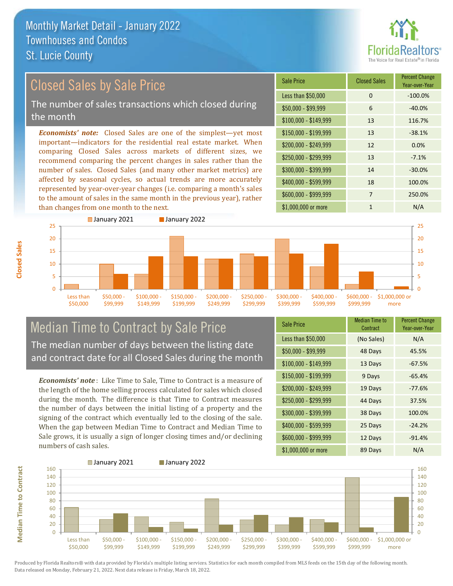

#### *Economists' note:* Closed Sales are one of the simplest—yet most important—indicators for the residential real estate market. When comparing Closed Sales across markets of different sizes, we recommend comparing the percent changes in sales rather than the number of sales. Closed Sales (and many other market metrics) are affected by seasonal cycles, so actual trends are more accurately represented by year-over-year changes (i.e. comparing a month's sales to the amount of sales in the same month in the previous year), rather than changes from one month to the next. \$1,000,000 or more 1 N/A  $$250,000 - $299,999$  13 -7.1% \$300,000 - \$399,999 14 -30.0% \$400,000 - \$599,999 18 100.0% \$600,000 - \$999,999 7 250.0% \$150,000 - \$199,999 13 -38.1% \$200,000 - \$249,999 12 0.0% \$100,000 - \$149,999 13 116.7% Sale Price Closed Sales Percent Change Year-over-Year Less than \$50,000 0 0 -100.0%  $$50.000 - $99.999$  6 -40.0% ■ January 2021 **■ January 2022** Closed Sales by Sale Price The number of sales transactions which closed during the month



## Median Time to Contract by Sale Price The median number of days between the listing date and contract date for all Closed Sales during the month

*Economists' note* : Like Time to Sale, Time to Contract is a measure of the length of the home selling process calculated for sales which closed during the month. The difference is that Time to Contract measures the number of days between the initial listing of a property and the signing of the contract which eventually led to the closing of the sale. When the gap between Median Time to Contract and Median Time to Sale grows, it is usually a sign of longer closing times and/or declining numbers of cash sales.

| <b>Sale Price</b>     | Median Time to<br>Contract | <b>Percent Change</b><br>Year-over-Year |
|-----------------------|----------------------------|-----------------------------------------|
| Less than \$50,000    | (No Sales)                 | N/A                                     |
| $$50,000 - $99,999$   | 48 Days                    | 45.5%                                   |
| $$100,000 - $149,999$ | 13 Days                    | $-67.5%$                                |
| $$150,000 - $199,999$ | 9 Days                     | $-65.4%$                                |
| \$200,000 - \$249,999 | 19 Days                    | $-77.6%$                                |
| \$250,000 - \$299,999 | 44 Days                    | 37.5%                                   |
| \$300,000 - \$399,999 | 38 Days                    | 100.0%                                  |
| \$400,000 - \$599,999 | 25 Days                    | $-24.2%$                                |
| \$600,000 - \$999,999 | 12 Days                    | $-91.4%$                                |
| \$1,000,000 or more   | 89 Days                    | N/A                                     |



**Closed Sales**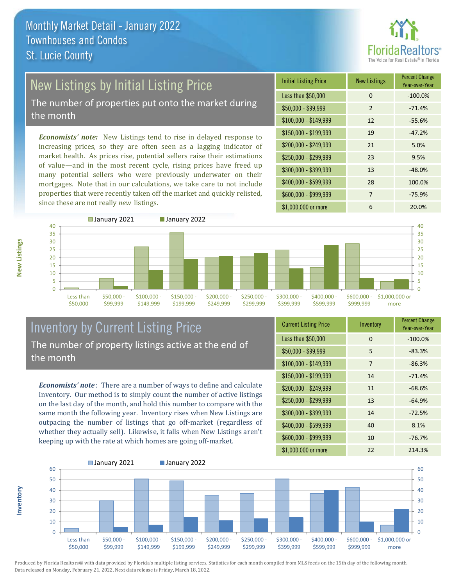

## New Listings by Initial Listing Price

The number of properties put onto the market during the month

*Economists' note:* New Listings tend to rise in delayed response to increasing prices, so they are often seen as a lagging indicator of market health. As prices rise, potential sellers raise their estimations of value—and in the most recent cycle, rising prices have freed up many potential sellers who were previously underwater on their mortgages. Note that in our calculations, we take care to not include properties that were recently taken off the market and quickly relisted, since these are not really *new* listings.

| <b>Initial Listing Price</b> | <b>New Listings</b> | <b>Percent Change</b><br>Year-over-Year |
|------------------------------|---------------------|-----------------------------------------|
| Less than \$50,000           | $\Omega$            | $-100.0%$                               |
| $$50,000 - $99,999$          | 2                   | $-71.4%$                                |
| $$100,000 - $149,999$        | 12                  | $-55.6%$                                |
| $$150,000 - $199,999$        | 19                  | $-47.2%$                                |
| \$200,000 - \$249,999        | 21                  | 5.0%                                    |
| \$250,000 - \$299,999        | 23                  | 9.5%                                    |
| \$300,000 - \$399,999        | 13                  | $-48.0%$                                |
| \$400,000 - \$599,999        | 28                  | 100.0%                                  |
| \$600,000 - \$999,999        | 7                   | $-75.9%$                                |
| \$1,000,000 or more          | 6                   | 20.0%                                   |



## Inventory by Current Listing Price The number of property listings active at the end of the month

*Economists' note* : There are a number of ways to define and calculate Inventory. Our method is to simply count the number of active listings on the last day of the month, and hold this number to compare with the same month the following year. Inventory rises when New Listings are outpacing the number of listings that go off-market (regardless of whether they actually sell). Likewise, it falls when New Listings aren't keeping up with the rate at which homes are going off-market.

| <b>Current Listing Price</b> | Inventory | <b>Percent Change</b><br>Year-over-Year |
|------------------------------|-----------|-----------------------------------------|
| Less than \$50,000           | $\Omega$  | $-100.0%$                               |
| $$50,000 - $99,999$          | 5         | $-83.3%$                                |
| $$100,000 - $149,999$        | 7         | $-86.3%$                                |
| $$150,000 - $199,999$        | 14        | $-71.4%$                                |
| \$200,000 - \$249,999        | 11        | $-68.6%$                                |
| \$250,000 - \$299,999        | 13        | $-64.9%$                                |
| \$300,000 - \$399,999        | 14        | $-72.5%$                                |
| \$400,000 - \$599,999        | 40        | 8.1%                                    |
| \$600,000 - \$999,999        | 10        | $-76.7%$                                |
| \$1,000,000 or more          | 22        | 214.3%                                  |



Produced by Florida Realtors® with data provided by Florida's multiple listing services. Statistics for each month compiled from MLS feeds on the 15th day of the following month. Data released on Monday, February 21, 2022. Next data release is Friday, March 18, 2022.

**Inventory**